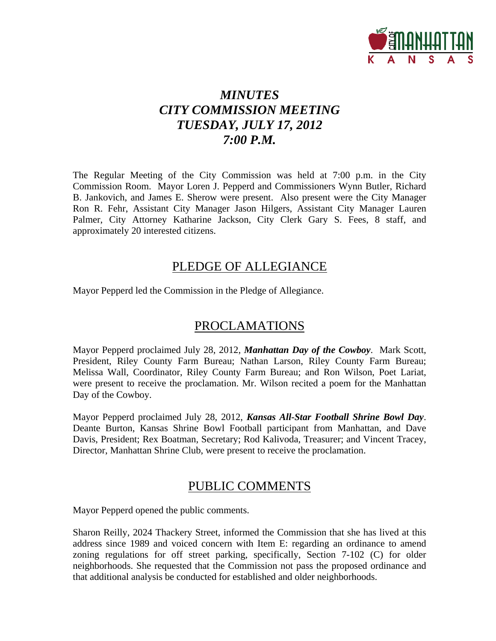

# *MINUTES CITY COMMISSION MEETING TUESDAY, JULY 17, 2012 7:00 P.M.*

The Regular Meeting of the City Commission was held at 7:00 p.m. in the City Commission Room. Mayor Loren J. Pepperd and Commissioners Wynn Butler, Richard B. Jankovich, and James E. Sherow were present. Also present were the City Manager Ron R. Fehr, Assistant City Manager Jason Hilgers, Assistant City Manager Lauren Palmer, City Attorney Katharine Jackson, City Clerk Gary S. Fees, 8 staff, and approximately 20 interested citizens.

# PLEDGE OF ALLEGIANCE

Mayor Pepperd led the Commission in the Pledge of Allegiance.

# PROCLAMATIONS

Mayor Pepperd proclaimed July 28, 2012, *Manhattan Day of the Cowboy*. Mark Scott, President, Riley County Farm Bureau; Nathan Larson, Riley County Farm Bureau; Melissa Wall, Coordinator, Riley County Farm Bureau; and Ron Wilson, Poet Lariat, were present to receive the proclamation. Mr. Wilson recited a poem for the Manhattan Day of the Cowboy.

Mayor Pepperd proclaimed July 28, 2012, *Kansas All-Star Football Shrine Bowl Day*. Deante Burton, Kansas Shrine Bowl Football participant from Manhattan, and Dave Davis, President; Rex Boatman, Secretary; Rod Kalivoda, Treasurer; and Vincent Tracey, Director, Manhattan Shrine Club, were present to receive the proclamation.

# PUBLIC COMMENTS

Mayor Pepperd opened the public comments.

Sharon Reilly, 2024 Thackery Street, informed the Commission that she has lived at this address since 1989 and voiced concern with Item E: regarding an ordinance to amend zoning regulations for off street parking, specifically, Section 7-102 (C) for older neighborhoods. She requested that the Commission not pass the proposed ordinance and that additional analysis be conducted for established and older neighborhoods.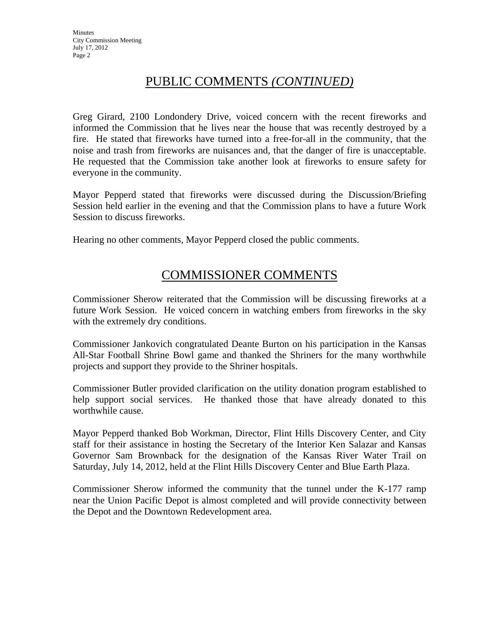# PUBLIC COMMENTS *(CONTINUED)*

Greg Girard, 2100 Londondery Drive, voiced concern with the recent fireworks and informed the Commission that he lives near the house that was recently destroyed by a fire. He stated that fireworks have turned into a free-for-all in the community, that the noise and trash from fireworks are nuisances and, that the danger of fire is unacceptable. He requested that the Commission take another look at fireworks to ensure safety for everyone in the community.

Mayor Pepperd stated that fireworks were discussed during the Discussion/Briefing Session held earlier in the evening and that the Commission plans to have a future Work Session to discuss fireworks.

Hearing no other comments, Mayor Pepperd closed the public comments.

# COMMISSIONER COMMENTS

Commissioner Sherow reiterated that the Commission will be discussing fireworks at a future Work Session. He voiced concern in watching embers from fireworks in the sky with the extremely dry conditions.

Commissioner Jankovich congratulated Deante Burton on his participation in the Kansas All-Star Football Shrine Bowl game and thanked the Shriners for the many worthwhile projects and support they provide to the Shriner hospitals.

Commissioner Butler provided clarification on the utility donation program established to help support social services. He thanked those that have already donated to this worthwhile cause.

Mayor Pepperd thanked Bob Workman, Director, Flint Hills Discovery Center, and City staff for their assistance in hosting the Secretary of the Interior Ken Salazar and Kansas Governor Sam Brownback for the designation of the Kansas River Water Trail on Saturday, July 14, 2012, held at the Flint Hills Discovery Center and Blue Earth Plaza.

Commissioner Sherow informed the community that the tunnel under the K-177 ramp near the Union Pacific Depot is almost completed and will provide connectivity between the Depot and the Downtown Redevelopment area.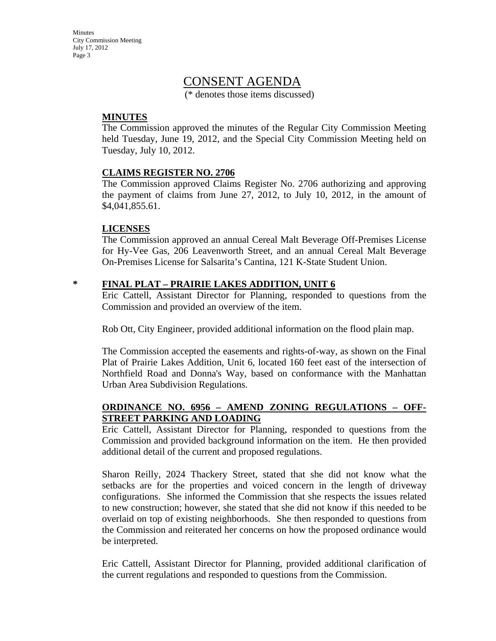**Minutes** City Commission Meeting July 17, 2012 Page 3

## CONSENT AGENDA

(\* denotes those items discussed)

#### **MINUTES**

The Commission approved the minutes of the Regular City Commission Meeting held Tuesday, June 19, 2012, and the Special City Commission Meeting held on Tuesday, July 10, 2012.

#### **CLAIMS REGISTER NO. 2706**

The Commission approved Claims Register No. 2706 authorizing and approving the payment of claims from June 27, 2012, to July 10, 2012, in the amount of \$4,041,855.61.

#### **LICENSES**

The Commission approved an annual Cereal Malt Beverage Off-Premises License for Hy-Vee Gas, 206 Leavenworth Street, and an annual Cereal Malt Beverage On-Premises License for Salsarita's Cantina, 121 K-State Student Union.

#### **\* FINAL PLAT – PRAIRIE LAKES ADDITION, UNIT 6**

Eric Cattell, Assistant Director for Planning, responded to questions from the Commission and provided an overview of the item.

Rob Ott, City Engineer, provided additional information on the flood plain map.

The Commission accepted the easements and rights-of-way, as shown on the Final Plat of Prairie Lakes Addition, Unit 6, located 160 feet east of the intersection of Northfield Road and Donna's Way, based on conformance with the Manhattan Urban Area Subdivision Regulations.

### **ORDINANCE NO. 6956 – AMEND ZONING REGULATIONS – OFF-STREET PARKING AND LOADING**

Eric Cattell, Assistant Director for Planning, responded to questions from the Commission and provided background information on the item. He then provided additional detail of the current and proposed regulations.

Sharon Reilly, 2024 Thackery Street, stated that she did not know what the setbacks are for the properties and voiced concern in the length of driveway configurations. She informed the Commission that she respects the issues related to new construction; however, she stated that she did not know if this needed to be overlaid on top of existing neighborhoods. She then responded to questions from the Commission and reiterated her concerns on how the proposed ordinance would be interpreted.

Eric Cattell, Assistant Director for Planning, provided additional clarification of the current regulations and responded to questions from the Commission.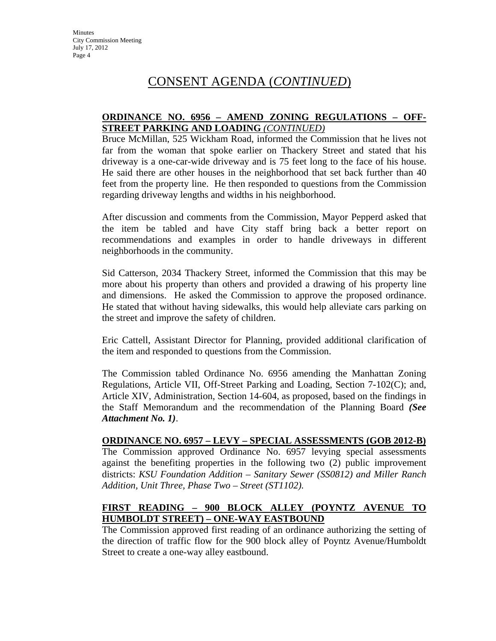# CONSENT AGENDA (*CONTINUED*)

#### **ORDINANCE NO. 6956 – AMEND ZONING REGULATIONS – OFF-STREET PARKING AND LOADING** *(CONTINUED)*

Bruce McMillan, 525 Wickham Road, informed the Commission that he lives not far from the woman that spoke earlier on Thackery Street and stated that his driveway is a one-car-wide driveway and is 75 feet long to the face of his house. He said there are other houses in the neighborhood that set back further than 40 feet from the property line. He then responded to questions from the Commission regarding driveway lengths and widths in his neighborhood.

After discussion and comments from the Commission, Mayor Pepperd asked that the item be tabled and have City staff bring back a better report on recommendations and examples in order to handle driveways in different neighborhoods in the community.

Sid Catterson, 2034 Thackery Street, informed the Commission that this may be more about his property than others and provided a drawing of his property line and dimensions. He asked the Commission to approve the proposed ordinance. He stated that without having sidewalks, this would help alleviate cars parking on the street and improve the safety of children.

Eric Cattell, Assistant Director for Planning, provided additional clarification of the item and responded to questions from the Commission.

The Commission tabled Ordinance No. 6956 amending the Manhattan Zoning Regulations, Article VII, Off-Street Parking and Loading, Section 7-102(C); and, Article XIV, Administration, Section 14-604, as proposed, based on the findings in the Staff Memorandum and the recommendation of the Planning Board *(See Attachment No. 1)*.

#### **ORDINANCE NO. 6957 – LEVY – SPECIAL ASSESSMENTS (GOB 2012-B)**

The Commission approved Ordinance No. 6957 levying special assessments against the benefiting properties in the following two (2) public improvement districts: *KSU Foundation Addition – Sanitary Sewer (SS0812) and Miller Ranch Addition, Unit Three, Phase Two – Street (ST1102).* 

#### **FIRST READING – 900 BLOCK ALLEY (POYNTZ AVENUE TO HUMBOLDT STREET) – ONE-WAY EASTBOUND**

The Commission approved first reading of an ordinance authorizing the setting of the direction of traffic flow for the 900 block alley of Poyntz Avenue/Humboldt Street to create a one-way alley eastbound.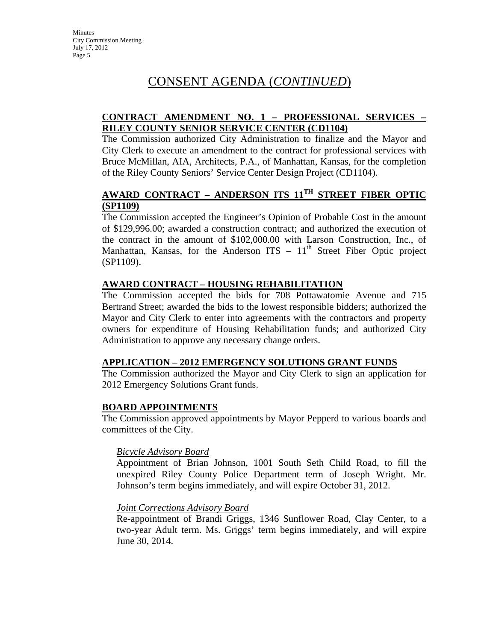# CONSENT AGENDA (*CONTINUED*)

### **CONTRACT AMENDMENT NO. 1 – PROFESSIONAL SERVICES – RILEY COUNTY SENIOR SERVICE CENTER (CD1104)**

The Commission authorized City Administration to finalize and the Mayor and City Clerk to execute an amendment to the contract for professional services with Bruce McMillan, AIA, Architects, P.A., of Manhattan, Kansas, for the completion of the Riley County Seniors' Service Center Design Project (CD1104).

### **AWARD CONTRACT – ANDERSON ITS 11TH STREET FIBER OPTIC (SP1109)**

The Commission accepted the Engineer's Opinion of Probable Cost in the amount of \$129,996.00; awarded a construction contract; and authorized the execution of the contract in the amount of \$102,000.00 with Larson Construction, Inc., of Manhattan, Kansas, for the Anderson ITS  $-11<sup>th</sup>$  Street Fiber Optic project (SP1109).

### **AWARD CONTRACT – HOUSING REHABILITATION**

The Commission accepted the bids for 708 Pottawatomie Avenue and 715 Bertrand Street; awarded the bids to the lowest responsible bidders; authorized the Mayor and City Clerk to enter into agreements with the contractors and property owners for expenditure of Housing Rehabilitation funds; and authorized City Administration to approve any necessary change orders.

### **APPLICATION – 2012 EMERGENCY SOLUTIONS GRANT FUNDS**

The Commission authorized the Mayor and City Clerk to sign an application for 2012 Emergency Solutions Grant funds.

### **BOARD APPOINTMENTS**

The Commission approved appointments by Mayor Pepperd to various boards and committees of the City.

### *Bicycle Advisory Board*

Appointment of Brian Johnson, 1001 South Seth Child Road, to fill the unexpired Riley County Police Department term of Joseph Wright. Mr. Johnson's term begins immediately, and will expire October 31, 2012.

### *Joint Corrections Advisory Board*

Re-appointment of Brandi Griggs, 1346 Sunflower Road, Clay Center, to a two-year Adult term. Ms. Griggs' term begins immediately, and will expire June 30, 2014.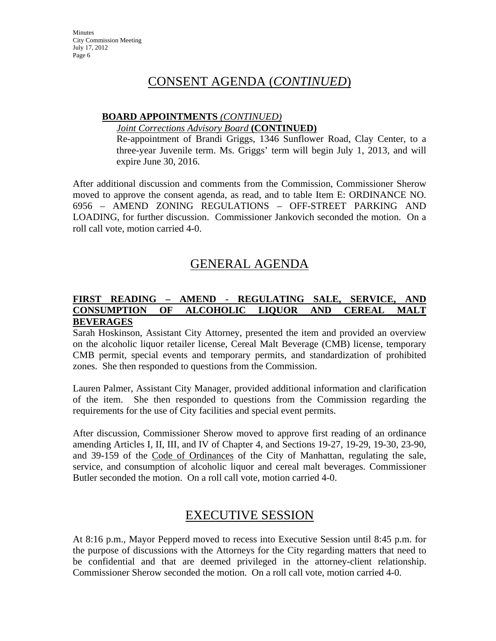## CONSENT AGENDA (*CONTINUED*)

#### **BOARD APPOINTMENTS** *(CONTINUED)*

#### *Joint Corrections Advisory Board* **(CONTINUED)**

Re-appointment of Brandi Griggs, 1346 Sunflower Road, Clay Center, to a three-year Juvenile term. Ms. Griggs' term will begin July 1, 2013, and will expire June 30, 2016.

After additional discussion and comments from the Commission, Commissioner Sherow moved to approve the consent agenda, as read, and to table Item E: ORDINANCE NO. 6956 – AMEND ZONING REGULATIONS – OFF-STREET PARKING AND LOADING, for further discussion. Commissioner Jankovich seconded the motion. On a roll call vote, motion carried 4-0.

# GENERAL AGENDA

### **FIRST READING – AMEND - REGULATING SALE, SERVICE, AND CONSUMPTION OF ALCOHOLIC LIQUOR AND CEREAL MALT BEVERAGES**

Sarah Hoskinson, Assistant City Attorney, presented the item and provided an overview on the alcoholic liquor retailer license, Cereal Malt Beverage (CMB) license, temporary CMB permit, special events and temporary permits, and standardization of prohibited zones. She then responded to questions from the Commission.

Lauren Palmer, Assistant City Manager, provided additional information and clarification of the item. She then responded to questions from the Commission regarding the requirements for the use of City facilities and special event permits.

After discussion, Commissioner Sherow moved to approve first reading of an ordinance amending Articles I, II, III, and IV of Chapter 4, and Sections 19-27, 19-29, 19-30, 23-90, and 39-159 of the Code of Ordinances of the City of Manhattan, regulating the sale, service, and consumption of alcoholic liquor and cereal malt beverages. Commissioner Butler seconded the motion. On a roll call vote, motion carried 4-0.

# EXECUTIVE SESSION

At 8:16 p.m., Mayor Pepperd moved to recess into Executive Session until 8:45 p.m. for the purpose of discussions with the Attorneys for the City regarding matters that need to be confidential and that are deemed privileged in the attorney-client relationship. Commissioner Sherow seconded the motion. On a roll call vote, motion carried 4-0.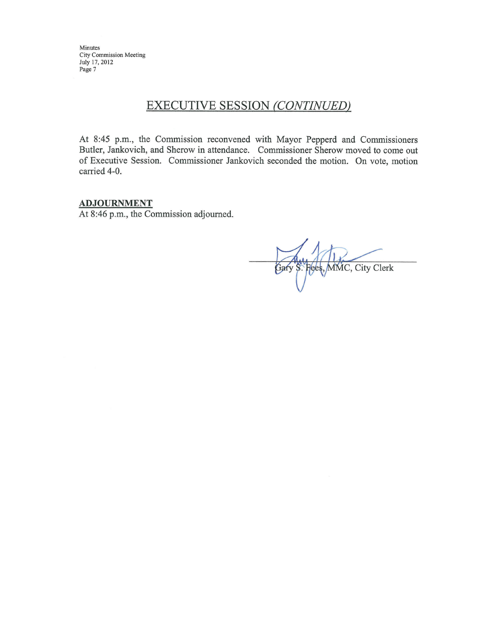Minutes City Commission Meeting July 17, 2012 Page 7

### **EXECUTIVE SESSION (CONTINUED)**

At 8:45 p.m., the Commission reconvened with Mayor Pepperd and Commissioners Butler, Jankovich, and Sherow in attendance. Commissioner Sherow moved to come out of Executive Session. Commissioner Jankovich seconded the motion. On vote, motion carried 4-0.

#### **ADJOURNMENT**

At 8:46 p.m., the Commission adjourned.

Fees, MMC, City Clerk Gary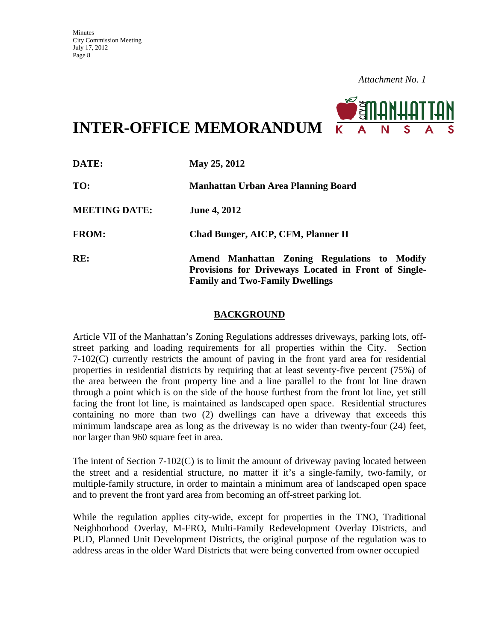

**INTER-OFFICE MEMORANDUM**

| DATE:                | May 25, 2012                                                                                                                                   |
|----------------------|------------------------------------------------------------------------------------------------------------------------------------------------|
| TO:                  | Manhattan Urban Area Planning Board                                                                                                            |
| <b>MEETING DATE:</b> | <b>June 4, 2012</b>                                                                                                                            |
| <b>FROM:</b>         | Chad Bunger, AICP, CFM, Planner II                                                                                                             |
| RE:                  | Amend Manhattan Zoning Regulations to Modify<br>Provisions for Driveways Located in Front of Single-<br><b>Family and Two-Family Dwellings</b> |

#### **BACKGROUND**

Article VII of the Manhattan's Zoning Regulations addresses driveways, parking lots, offstreet parking and loading requirements for all properties within the City. Section 7-102(C) currently restricts the amount of paving in the front yard area for residential properties in residential districts by requiring that at least seventy-five percent (75%) of the area between the front property line and a line parallel to the front lot line drawn through a point which is on the side of the house furthest from the front lot line, yet still facing the front lot line, is maintained as landscaped open space.Residential structures containing no more than two (2) dwellings can have a driveway that exceeds this minimum landscape area as long as the driveway is no wider than twenty-four (24) feet, nor larger than 960 square feet in area.

The intent of Section  $7-102(C)$  is to limit the amount of driveway paving located between the street and a residential structure, no matter if it's a single-family, two-family, or multiple-family structure, in order to maintain a minimum area of landscaped open space and to prevent the front yard area from becoming an off-street parking lot.

While the regulation applies city-wide, except for properties in the TNO, Traditional Neighborhood Overlay, M-FRO, Multi-Family Redevelopment Overlay Districts, and PUD, Planned Unit Development Districts, the original purpose of the regulation was to address areas in the older Ward Districts that were being converted from owner occupied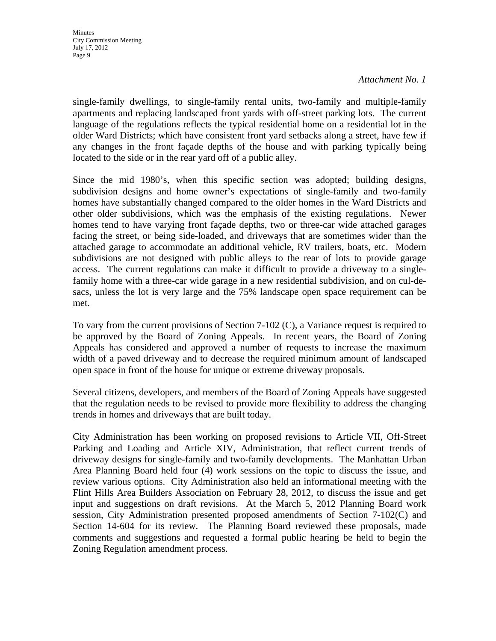single-family dwellings, to single-family rental units, two-family and multiple-family apartments and replacing landscaped front yards with off-street parking lots. The current language of the regulations reflects the typical residential home on a residential lot in the older Ward Districts; which have consistent front yard setbacks along a street, have few if any changes in the front façade depths of the house and with parking typically being located to the side or in the rear yard off of a public alley.

Since the mid 1980's, when this specific section was adopted; building designs, subdivision designs and home owner's expectations of single-family and two-family homes have substantially changed compared to the older homes in the Ward Districts and other older subdivisions, which was the emphasis of the existing regulations. Newer homes tend to have varying front façade depths, two or three-car wide attached garages facing the street, or being side-loaded, and driveways that are sometimes wider than the attached garage to accommodate an additional vehicle, RV trailers, boats, etc. Modern subdivisions are not designed with public alleys to the rear of lots to provide garage access. The current regulations can make it difficult to provide a driveway to a singlefamily home with a three-car wide garage in a new residential subdivision, and on cul-desacs, unless the lot is very large and the 75% landscape open space requirement can be met.

To vary from the current provisions of Section 7-102 (C), a Variance request is required to be approved by the Board of Zoning Appeals. In recent years, the Board of Zoning Appeals has considered and approved a number of requests to increase the maximum width of a paved driveway and to decrease the required minimum amount of landscaped open space in front of the house for unique or extreme driveway proposals.

Several citizens, developers, and members of the Board of Zoning Appeals have suggested that the regulation needs to be revised to provide more flexibility to address the changing trends in homes and driveways that are built today.

City Administration has been working on proposed revisions to Article VII, Off-Street Parking and Loading and Article XIV, Administration, that reflect current trends of driveway designs for single-family and two-family developments. The Manhattan Urban Area Planning Board held four (4) work sessions on the topic to discuss the issue, and review various options. City Administration also held an informational meeting with the Flint Hills Area Builders Association on February 28, 2012, to discuss the issue and get input and suggestions on draft revisions. At the March 5, 2012 Planning Board work session, City Administration presented proposed amendments of Section 7-102(C) and Section 14-604 for its review. The Planning Board reviewed these proposals, made comments and suggestions and requested a formal public hearing be held to begin the Zoning Regulation amendment process.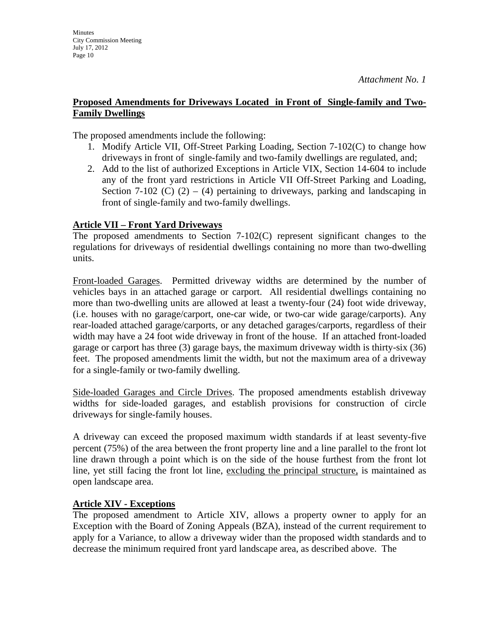The proposed amendments include the following:

- 1. Modify Article VII, Off-Street Parking Loading, Section 7-102(C) to change how driveways in front of single-family and two-family dwellings are regulated, and;
- 2. Add to the list of authorized Exceptions in Article VIX, Section 14-604 to include any of the front yard restrictions in Article VII Off-Street Parking and Loading, Section 7-102 (C)  $(2) - (4)$  pertaining to driveways, parking and landscaping in front of single-family and two-family dwellings.

### **Article VII – Front Yard Driveways**

**Minutes** 

July 17, 2012 Page 10

City Commission Meeting

The proposed amendments to Section 7-102(C) represent significant changes to the regulations for driveways of residential dwellings containing no more than two-dwelling units.

Front-loaded Garages. Permitted driveway widths are determined by the number of vehicles bays in an attached garage or carport. All residential dwellings containing no more than two-dwelling units are allowed at least a twenty-four (24) foot wide driveway, (i.e. houses with no garage/carport, one-car wide, or two-car wide garage/carports). Any rear-loaded attached garage/carports, or any detached garages/carports, regardless of their width may have a 24 foot wide driveway in front of the house. If an attached front-loaded garage or carport has three (3) garage bays, the maximum driveway width is thirty-six (36) feet. The proposed amendments limit the width, but not the maximum area of a driveway for a single-family or two-family dwelling.

Side-loaded Garages and Circle Drives. The proposed amendments establish driveway widths for side-loaded garages, and establish provisions for construction of circle driveways for single-family houses.

A driveway can exceed the proposed maximum width standards if at least seventy-five percent (75%) of the area between the front property line and a line parallel to the front lot line drawn through a point which is on the side of the house furthest from the front lot line, yet still facing the front lot line, excluding the principal structure, is maintained as open landscape area.

### **Article XIV - Exceptions**

The proposed amendment to Article XIV, allows a property owner to apply for an Exception with the Board of Zoning Appeals (BZA), instead of the current requirement to apply for a Variance, to allow a driveway wider than the proposed width standards and to decrease the minimum required front yard landscape area, as described above. The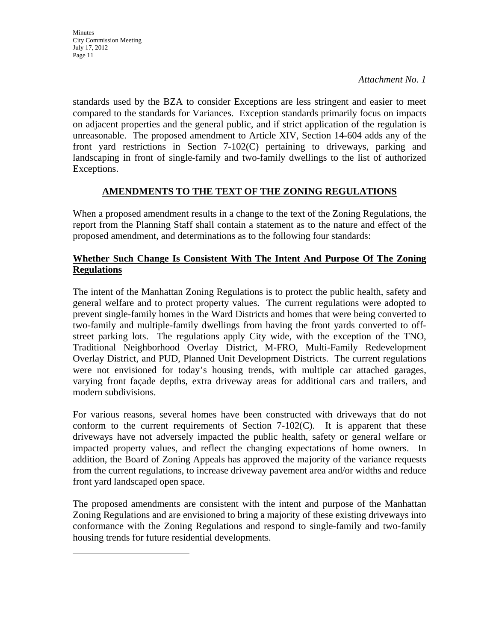**Minutes** City Commission Meeting July 17, 2012 Page 11

*Attachment No. 1*

standards used by the BZA to consider Exceptions are less stringent and easier to meet compared to the standards for Variances. Exception standards primarily focus on impacts on adjacent properties and the general public, and if strict application of the regulation is unreasonable. The proposed amendment to Article XIV, Section 14-604 adds any of the front yard restrictions in Section 7-102(C) pertaining to driveways, parking and landscaping in front of single-family and two-family dwellings to the list of authorized Exceptions.

### **AMENDMENTS TO THE TEXT OF THE ZONING REGULATIONS**

When a proposed amendment results in a change to the text of the Zoning Regulations, the report from the Planning Staff shall contain a statement as to the nature and effect of the proposed amendment, and determinations as to the following four standards:

### **Whether Such Change Is Consistent With The Intent And Purpose Of The Zoning Regulations**

The intent of the Manhattan Zoning Regulations is to protect the public health, safety and general welfare and to protect property values. The current regulations were adopted to prevent single-family homes in the Ward Districts and homes that were being converted to two-family and multiple-family dwellings from having the front yards converted to offstreet parking lots. The regulations apply City wide, with the exception of the TNO, Traditional Neighborhood Overlay District, M-FRO, Multi-Family Redevelopment Overlay District, and PUD, Planned Unit Development Districts. The current regulations were not envisioned for today's housing trends, with multiple car attached garages, varying front façade depths, extra driveway areas for additional cars and trailers, and modern subdivisions.

For various reasons, several homes have been constructed with driveways that do not conform to the current requirements of Section  $7-102(C)$ . It is apparent that these driveways have not adversely impacted the public health, safety or general welfare or impacted property values, and reflect the changing expectations of home owners. In addition, the Board of Zoning Appeals has approved the majority of the variance requests from the current regulations, to increase driveway pavement area and/or widths and reduce front yard landscaped open space.

The proposed amendments are consistent with the intent and purpose of the Manhattan Zoning Regulations and are envisioned to bring a majority of these existing driveways into conformance with the Zoning Regulations and respond to single-family and two-family housing trends for future residential developments.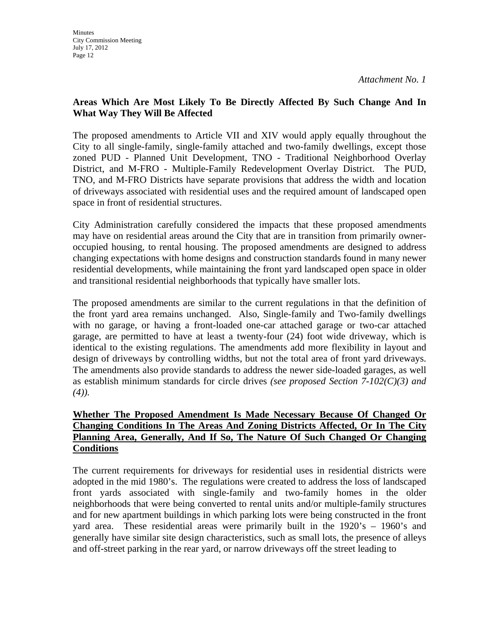### **Areas Which Are Most Likely To Be Directly Affected By Such Change And In What Way They Will Be Affected**

The proposed amendments to Article VII and XIV would apply equally throughout the City to all single-family, single-family attached and two-family dwellings, except those zoned PUD - Planned Unit Development, TNO - Traditional Neighborhood Overlay District, and M-FRO - Multiple-Family Redevelopment Overlay District. The PUD, TNO, and M-FRO Districts have separate provisions that address the width and location of driveways associated with residential uses and the required amount of landscaped open space in front of residential structures.

City Administration carefully considered the impacts that these proposed amendments may have on residential areas around the City that are in transition from primarily owneroccupied housing, to rental housing. The proposed amendments are designed to address changing expectations with home designs and construction standards found in many newer residential developments, while maintaining the front yard landscaped open space in older and transitional residential neighborhoods that typically have smaller lots.

The proposed amendments are similar to the current regulations in that the definition of the front yard area remains unchanged. Also, Single-family and Two-family dwellings with no garage, or having a front-loaded one-car attached garage or two-car attached garage, are permitted to have at least a twenty-four (24) foot wide driveway, which is identical to the existing regulations. The amendments add more flexibility in layout and design of driveways by controlling widths, but not the total area of front yard driveways. The amendments also provide standards to address the newer side-loaded garages, as well as establish minimum standards for circle drives *(see proposed Section 7-102(C)(3) and (4)).* 

### **Whether The Proposed Amendment Is Made Necessary Because Of Changed Or Changing Conditions In The Areas And Zoning Districts Affected, Or In The City Planning Area, Generally, And If So, The Nature Of Such Changed Or Changing Conditions**

The current requirements for driveways for residential uses in residential districts were adopted in the mid 1980's. The regulations were created to address the loss of landscaped front yards associated with single-family and two-family homes in the older neighborhoods that were being converted to rental units and/or multiple-family structures and for new apartment buildings in which parking lots were being constructed in the front yard area. These residential areas were primarily built in the 1920's – 1960's and generally have similar site design characteristics, such as small lots, the presence of alleys and off-street parking in the rear yard, or narrow driveways off the street leading to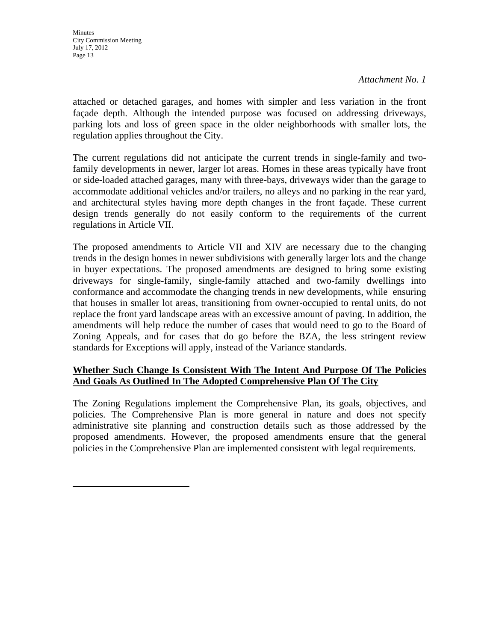**Minutes** City Commission Meeting July 17, 2012 Page 13

*Attachment No. 1*

attached or detached garages, and homes with simpler and less variation in the front façade depth. Although the intended purpose was focused on addressing driveways, parking lots and loss of green space in the older neighborhoods with smaller lots, the regulation applies throughout the City.

The current regulations did not anticipate the current trends in single-family and twofamily developments in newer, larger lot areas. Homes in these areas typically have front or side-loaded attached garages, many with three-bays, driveways wider than the garage to accommodate additional vehicles and/or trailers, no alleys and no parking in the rear yard, and architectural styles having more depth changes in the front façade. These current design trends generally do not easily conform to the requirements of the current regulations in Article VII.

The proposed amendments to Article VII and XIV are necessary due to the changing trends in the design homes in newer subdivisions with generally larger lots and the change in buyer expectations. The proposed amendments are designed to bring some existing driveways for single-family, single-family attached and two-family dwellings into conformance and accommodate the changing trends in new developments, while ensuring that houses in smaller lot areas, transitioning from owner-occupied to rental units, do not replace the front yard landscape areas with an excessive amount of paving. In addition, the amendments will help reduce the number of cases that would need to go to the Board of Zoning Appeals, and for cases that do go before the BZA, the less stringent review standards for Exceptions will apply, instead of the Variance standards.

### **Whether Such Change Is Consistent With The Intent And Purpose Of The Policies And Goals As Outlined In The Adopted Comprehensive Plan Of The City**

The Zoning Regulations implement the Comprehensive Plan, its goals, objectives, and policies. The Comprehensive Plan is more general in nature and does not specify administrative site planning and construction details such as those addressed by the proposed amendments. However, the proposed amendments ensure that the general policies in the Comprehensive Plan are implemented consistent with legal requirements.